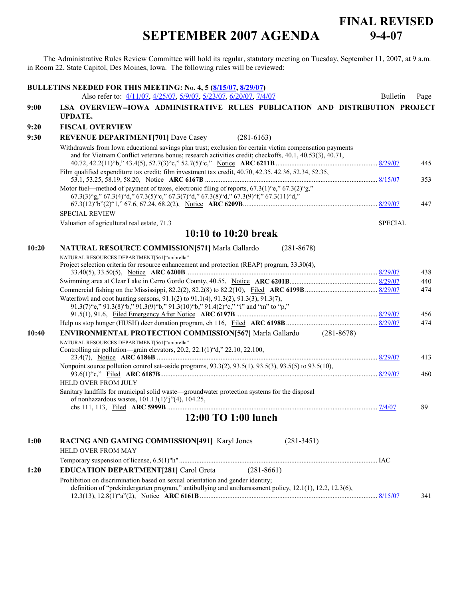## **SEPTEMBER 2007 AGENDA FINAL REVISED 9-4-07**

The Administrative Rules Review Committee will hold its regular, statutory meeting on Tuesday, September 11, 2007, at 9 a.m. in Room 22, State Capitol, Des Moines, Iowa. The following rules will be reviewed:

|       | BULLETINS NEEDED FOR THIS MEETING: No. 4, 5 (8/15/07, 8/29/07)<br>Also refer to: 4/11/07, 4/25/07, 5/9/07, 5/23/07, 6/20/07, 7/4/07                                                                                | <b>Bulletin</b> | Page |
|-------|--------------------------------------------------------------------------------------------------------------------------------------------------------------------------------------------------------------------|-----------------|------|
| 9:00  | LSA OVERVIEW--IOWA ADMINISTRATIVE RULES PUBLICATION AND DISTRIBUTION PROJECT<br><b>UPDATE.</b>                                                                                                                     |                 |      |
| 9:20  | <b>FISCAL OVERVIEW</b>                                                                                                                                                                                             |                 |      |
| 9:30  | <b>REVENUE DEPARTMENT[701] Dave Casey</b><br>$(281-6163)$                                                                                                                                                          |                 |      |
|       | Withdrawals from Iowa educational savings plan trust; exclusion for certain victim compensation payments<br>and for Vietnam Conflict veterans bonus; research activities credit; checkoffs, 40.1, 40.53(3), 40.71, |                 | 445  |
|       | Film qualified expenditure tax credit; film investment tax credit, 40.70, 42.35, 42.36, 52.34, 52.35,                                                                                                              |                 | 353  |
|       | Motor fuel—method of payment of taxes, electronic filing of reports, 67.3(1)"e," 67.3(2)"g,"<br>$67.3(3)$ "g," $67.3(4)$ "d," $67.3(5)$ "c," $67.3(7)$ "d," $67.3(8)$ "d," $67.3(9)$ "f," $67.3(11)$ "d,"          |                 | 447  |
|       | <b>SPECIAL REVIEW</b>                                                                                                                                                                                              |                 |      |
|       | Valuation of agricultural real estate, 71.3                                                                                                                                                                        | <b>SPECIAL</b>  |      |
|       | 10:10 to 10:20 break                                                                                                                                                                                               |                 |      |
| 10:20 | NATURAL RESOURCE COMMISSION[571] Marla Gallardo<br>$(281 - 8678)$                                                                                                                                                  |                 |      |
|       | NATURAL RESOURCES DEPARTMENT[561]"umbrella"<br>Project selection criteria for resource enhancement and protection (REAP) program, 33.30(4),                                                                        |                 | 438  |
|       |                                                                                                                                                                                                                    |                 | 440  |
|       |                                                                                                                                                                                                                    |                 | 474  |
|       | Waterfowl and coot hunting seasons, 91.1(2) to 91.1(4), 91.3(2), 91.3(3), 91.3(7),<br>91.3(7) "e," 91.3(8) "b," 91.3(9) "b," 91.3(10) "b," 91.4(2) "c," "i" and "m" to "p,"                                        |                 | 456  |
|       |                                                                                                                                                                                                                    |                 | 474  |
| 10:40 | <b>ENVIRONMENTAL PROTECTION COMMISSION [567]</b> Marla Gallardo (281-8678)                                                                                                                                         |                 |      |
|       | NATURAL RESOURCES DEPARTMENT[561]"umbrella"<br>Controlling air pollution-grain elevators, 20.2, 22.1(1)"d," 22.10, 22.100,                                                                                         |                 | 413  |
|       | Nonpoint source pollution control set–aside programs, 93.3(2), 93.5(1), 93.5(3), 93.5(5) to 93.5(10),                                                                                                              |                 | 460  |
|       | HELD OVER FROM JULY<br>Sanitary landfills for municipal solid waste—groundwater protection systems for the disposal<br>of nonhazardous wastes, $101.13(1)$ "j"(4), $104.25$ ,                                      |                 | 89   |
|       | 12:00 TO 1:00 lunch                                                                                                                                                                                                |                 |      |
|       |                                                                                                                                                                                                                    |                 |      |
| 1:00  | RACING AND GAMING COMMISSION[491] Karyl Jones<br>$(281 - 3451)$                                                                                                                                                    |                 |      |
|       | <b>HELD OVER FROM MAY</b>                                                                                                                                                                                          |                 |      |
|       |                                                                                                                                                                                                                    |                 |      |
| 1:20  | $(281 - 8661)$<br><b>EDUCATION DEPARTMENT[281] Carol Greta</b>                                                                                                                                                     |                 |      |
|       | Prohibition on discrimination based on sexual orientation and gender identity;<br>definition of "prekindergarten program," antibullying and antiharassment policy, 12.1(1), 12.2, 12.3(6),                         |                 | 341  |
|       |                                                                                                                                                                                                                    |                 |      |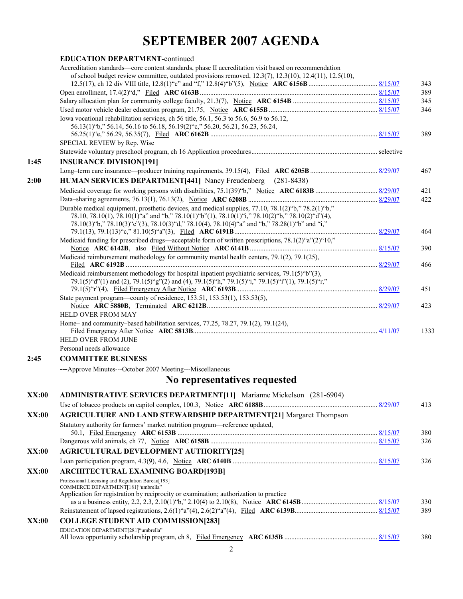## **SEPTEMBER 2007 AGENDA**

|       | <b>EDUCATION DEPARTMENT-continued</b>                                                                                                                                                               |            |
|-------|-----------------------------------------------------------------------------------------------------------------------------------------------------------------------------------------------------|------------|
|       | Accreditation standards—core content standards, phase II accreditation visit based on recommendation                                                                                                |            |
|       | of school budget review committee, outdated provisions removed, $12.3(7)$ , $12.3(10)$ , $12.4(11)$ , $12.5(10)$ ,                                                                                  |            |
|       |                                                                                                                                                                                                     | 343        |
|       |                                                                                                                                                                                                     | 389        |
|       |                                                                                                                                                                                                     | 345        |
|       |                                                                                                                                                                                                     | 346        |
|       | Iowa vocational rehabilitation services, ch 56 title, 56.1, 56.3 to 56.6, 56.9 to 56.12,<br>56.13(1) "b," 56.14, 56.16 to 56.18, 56.19(2) "c," 56.20, 56.21, 56.23, 56.24,                          |            |
|       |                                                                                                                                                                                                     | 389        |
|       | SPECIAL REVIEW by Rep. Wise                                                                                                                                                                         |            |
|       |                                                                                                                                                                                                     |            |
| 1:45  | <b>INSURANCE DIVISION[191]</b>                                                                                                                                                                      |            |
|       |                                                                                                                                                                                                     | 467        |
| 2:00  | HUMAN SERVICES DEPARTMENT[441] Nancy Freudenberg (281-8438)                                                                                                                                         |            |
|       |                                                                                                                                                                                                     |            |
|       |                                                                                                                                                                                                     | 421<br>422 |
|       | Durable medical equipment, prosthetic devices, and medical supplies, 77.10, 78.1(2)"b," 78.2(1)"b,"                                                                                                 |            |
|       | 78.10, 78.10(1), 78.10(1) "a" and "b," 78.10(1) "b"(1), 78.10(1) "i," 78.10(2) "b," 78.10(2) "d"(4),                                                                                                |            |
|       | 78.10(3)"b," 78.10(3)"c"(3), 78.10(3)"d," 78.10(4), 78.10(4)"a" and "b," 78.28(1)"b" and "i,"                                                                                                       |            |
|       |                                                                                                                                                                                                     | 464        |
|       | Medicaid funding for prescribed drugs—acceptable form of written prescriptions, $78.1(2)^{4}a^{2}(2)^{4}10$ ,"                                                                                      |            |
|       |                                                                                                                                                                                                     | 390        |
|       | Medicaid reimbursement methodology for community mental health centers, 79.1(2), 79.1(25),                                                                                                          |            |
|       |                                                                                                                                                                                                     |            |
|       | Medicaid reimbursement methodology for hospital inpatient psychiatric services, 79.1(5) "b"(3),<br>79.1(5)"d"(1) and (2), 79.1(5)"g"(2) and (4), 79.1(5)"h," 79.1(5)"i," 79.1(5)"i"(1), 79.1(5)"r," |            |
|       |                                                                                                                                                                                                     |            |
|       | State payment program—county of residence, 153.51, 153.53(1), 153.53(5),                                                                                                                            |            |
|       |                                                                                                                                                                                                     | 423        |
|       | HELD OVER FROM MAY                                                                                                                                                                                  |            |
|       | Home- and community-based habilitation services, 77.25, 78.27, 79.1(2), 79.1(24),                                                                                                                   | 466<br>451 |
|       |                                                                                                                                                                                                     | 1333       |
|       | HELD OVER FROM JUNE                                                                                                                                                                                 |            |
|       | Personal needs allowance                                                                                                                                                                            |            |
| 2:45  | <b>COMMITTEE BUSINESS</b>                                                                                                                                                                           |            |
|       | ---Approve Minutes---October 2007 Meeting---Miscellaneous                                                                                                                                           |            |
|       | No representatives requested                                                                                                                                                                        |            |
| XX:00 | <b>ADMINISTRATIVE SERVICES DEPARTMENT[11]</b> Marianne Mickelson (281-6904)                                                                                                                         |            |
|       |                                                                                                                                                                                                     | 413        |
| XX:00 | <b>AGRICULTURE AND LAND STEWARDSHIP DEPARTMENT[21] Margaret Thompson</b>                                                                                                                            |            |
|       | Statutory authority for farmers' market nutrition program—reference updated,                                                                                                                        |            |
|       |                                                                                                                                                                                                     | 380        |
|       |                                                                                                                                                                                                     | 326        |
| XX:00 | <b>AGRICULTURAL DEVELOPMENT AUTHORITY[25]</b>                                                                                                                                                       |            |
|       |                                                                                                                                                                                                     |            |
|       |                                                                                                                                                                                                     | 326        |
| XX:00 | <b>ARCHITECTURAL EXAMINING BOARD[193B]</b>                                                                                                                                                          |            |
|       | Professional Licensing and Regulation Bureau[193]<br>COMMERCE DEPARTMENT[181]"umbrella"                                                                                                             |            |
|       | Application for registration by reciprocity or examination; authorization to practice                                                                                                               |            |
|       |                                                                                                                                                                                                     | 330        |
|       |                                                                                                                                                                                                     | 389        |
| XX:00 | <b>COLLEGE STUDENT AID COMMISSION[283]</b>                                                                                                                                                          |            |
|       | EDUCATION DEPARTMENT[281]"umbrella"                                                                                                                                                                 |            |
|       |                                                                                                                                                                                                     | 380        |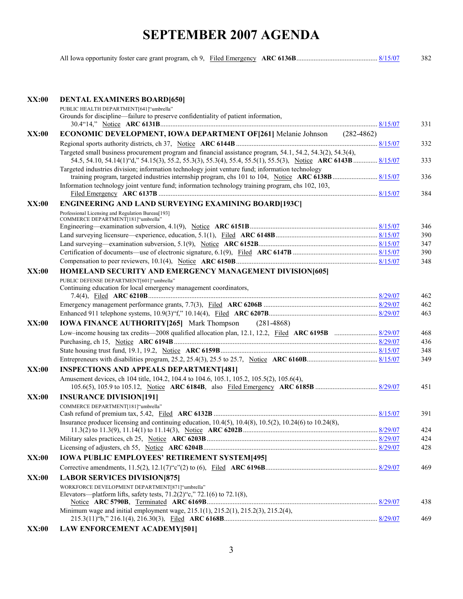## **SEPTEMBER 2007 AGENDA**

|  |  |  |  | 382 |
|--|--|--|--|-----|
|--|--|--|--|-----|

| <b>XX:00</b> | <b>DENTAL EXAMINERS BOARD[650]</b>                                                                                                 |     |
|--------------|------------------------------------------------------------------------------------------------------------------------------------|-----|
|              | PUBLIC HEALTH DEPARTMENT[641]"umbrella"                                                                                            |     |
|              | Grounds for discipline—failure to preserve confidentiality of patient information,                                                 |     |
|              |                                                                                                                                    | 331 |
| <b>XX:00</b> | <b>ECONOMIC DEVELOPMENT, IOWA DEPARTMENT OF [261]</b> Melanie Johnson (282-4862)                                                   |     |
|              |                                                                                                                                    | 332 |
|              | Targeted small business procurement program and financial assistance program, 54.1, 54.2, 54.3(2), 54.3(4),                        |     |
|              | 54.5, 54.10, 54.14(1) "d," 54.15(3), 55.2, 55.3(3), 55.3(4), 55.4, 55.5(1), 55.5(3), Notice ARC 6143B  8/15/07                     | 333 |
|              | Targeted industries division; information technology joint venture fund; information technology                                    |     |
|              |                                                                                                                                    | 336 |
|              | Information technology joint venture fund; information technology training program, chs 102, 103,                                  | 384 |
|              |                                                                                                                                    |     |
| XX:00        | <b>ENGINEERING AND LAND SURVEYING EXAMINING BOARD[193C]</b>                                                                        |     |
|              | Professional Licensing and Regulation Bureau[193]<br>COMMERCE DEPARTMENT[181]"umbrella"                                            |     |
|              |                                                                                                                                    | 346 |
|              |                                                                                                                                    | 390 |
|              |                                                                                                                                    | 347 |
|              |                                                                                                                                    | 390 |
|              |                                                                                                                                    | 348 |
| XX:00        | HOMELAND SECURITY AND EMERGENCY MANAGEMENT DIVISION[605]                                                                           |     |
|              | PUBLIC DEFENSE DEPARTMENT[601] "umbrella"                                                                                          |     |
|              | Continuing education for local emergency management coordinators,                                                                  |     |
|              |                                                                                                                                    | 462 |
|              |                                                                                                                                    | 462 |
|              |                                                                                                                                    | 463 |
| XX:00        | <b>IOWA FINANCE AUTHORITY [265]</b> Mark Thompson<br>$(281 - 4868)$                                                                |     |
|              |                                                                                                                                    | 468 |
|              |                                                                                                                                    | 436 |
|              |                                                                                                                                    | 348 |
|              |                                                                                                                                    | 349 |
| <b>XX:00</b> | <b>INSPECTIONS AND APPEALS DEPARTMENT[481]</b>                                                                                     |     |
|              | Amusement devices, ch 104 title, 104.2, 104.4 to 104.6, 105.1, 105.2, 105.5(2), 105.6(4),                                          |     |
|              |                                                                                                                                    | 451 |
| <b>XX:00</b> | <b>INSURANCE DIVISION[191]</b>                                                                                                     |     |
|              | COMMERCE DEPARTMENT[181]"umbrella"                                                                                                 |     |
|              |                                                                                                                                    | 391 |
|              | Insurance producer licensing and continuing education, $10.4(5)$ , $10.4(8)$ , $10.5(2)$ , $10.24(6)$ to $10.24(8)$ ,              | 424 |
|              |                                                                                                                                    | 424 |
|              |                                                                                                                                    | 428 |
| <b>XX:00</b> | <b>IOWA PUBLIC EMPLOYEES' RETIREMENT SYSTEM[495]</b>                                                                               |     |
|              |                                                                                                                                    | 469 |
|              |                                                                                                                                    |     |
| <b>XX:00</b> | <b>LABOR SERVICES DIVISION[875]</b>                                                                                                |     |
|              | WORKFORCE DEVELOPMENT DEPARTMENT[871]"umbrella"<br>Elevators—platform lifts, safety tests, $71.2(2)$ "c," $72.1(6)$ to $72.1(8)$ , |     |
|              |                                                                                                                                    | 438 |
|              | Minimum wage and initial employment wage, 215.1(1), 215.2(1), 215.2(3), 215.2(4),                                                  |     |
|              |                                                                                                                                    | 469 |
| XX:00        | <b>LAW ENFORCEMENT ACADEMY[501]</b>                                                                                                |     |